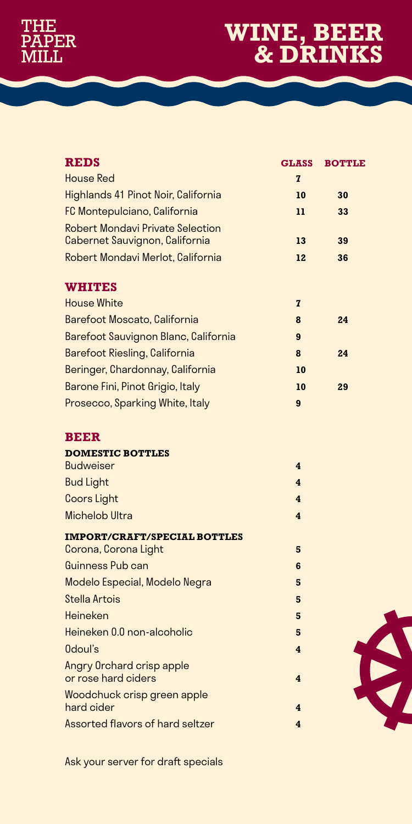## **THE** PAPER<br>MILL

## **WINE, BEER & DRINKS**

| <b>REDS</b>                                                               | <b>GLASS</b>   | <b>BOTTLE</b> |
|---------------------------------------------------------------------------|----------------|---------------|
| House Red                                                                 | $\overline{7}$ |               |
| Highlands 41 Pinot Noir, California                                       | 10             | 30            |
| FC Montepulciano, California                                              | 11             | 33            |
| <b>Robert Mondavi Private Selection</b><br>Cabernet Sauvignon, California | 13             | 39            |
| Robert Mondavi Merlot, California                                         | 12             | 36            |
| <b>WHITES</b>                                                             |                |               |
| House White                                                               | $\overline{7}$ |               |
| Barefoot Moscato, California                                              | 8              | 24            |
| Barefoot Sauvignon Blanc, California                                      | 9              |               |
| Barefoot Riesling, California                                             | 8              | 24            |
| Beringer, Chardonnay, California                                          | 10             |               |
| Barone Fini, Pinot Grigio, Italy                                          | 10             | 29            |
| Prosecco, Sparking White, Italy                                           | 9              |               |
|                                                                           |                |               |

## **BEER**

| <b>DOMESTIC BOTTLES</b>                                     |   |
|-------------------------------------------------------------|---|
| <b>Budweiser</b>                                            | 4 |
| <b>Bud Light</b>                                            | 4 |
| Coors Light                                                 | 4 |
| Michelob Ultra                                              | 4 |
| <b>IMPORT/CRAFT/SPECIAL BOTTLES</b><br>Corona, Corona Light | 5 |
| Guinness Pub can                                            | 6 |
| Modelo Especial, Modelo Negra                               | 5 |
| Stella Artois                                               | 5 |
| Heineken                                                    | 5 |
| Heineken 0.0 non-alcoholic                                  | 5 |
| 0doul's                                                     | 4 |
| Angry Orchard crisp apple<br>or rose hard ciders            | 4 |
| Woodchuck crisp green apple<br>hard cider                   | 4 |
| Assorted flavors of hard seltzer                            | 4 |

Ask your server for draft specials